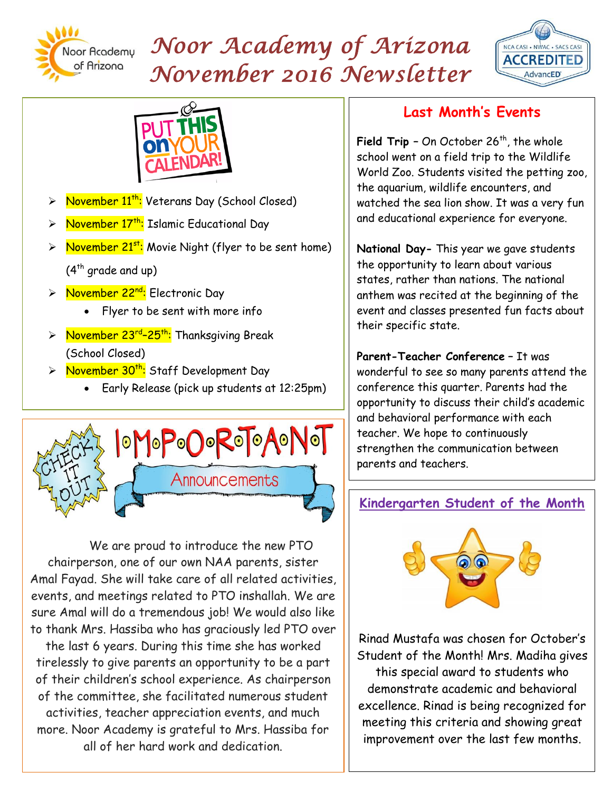

# *Noor Academy of Arizona November 2016 Newsletter*





- November 11<sup>th</sup>: Veterans Day (School Closed)
- November 17<sup>th</sup>: Islamic Educational Day
- November 21<sup>st</sup>: Movie Night (flyer to be sent home)  $(4<sup>th</sup>$  grade and up)
- > November 22<sup>nd</sup>: Electronic Day
	- Flyer to be sent with more info
- > November 23<sup>rd</sup>-25<sup>th</sup>: Thanksgiving Break (School Closed)
- > November 30<sup>th</sup>: Staff Development Day
	- Early Release (pick up students at 12:25pm)



We are proud to introduce the new PTO chairperson, one of our own NAA parents, sister Amal Fayad. She will take care of all related activities, events, and meetings related to PTO inshallah. We are sure Amal will do a tremendous job! We would also like to thank Mrs. Hassiba who has graciously led PTO over

the last 6 years. During this time she has worked tirelessly to give parents an opportunity to be a part of their children's school experience. As chairperson of the committee, she facilitated numerous student activities, teacher appreciation events, and much more. Noor Academy is grateful to Mrs. Hassiba for all of her hard work and dedication.

# **Last Month's Events**

**Field Trip** - On October 26<sup>th</sup>, the whole school went on a field trip to the Wildlife World Zoo. Students visited the petting zoo, the aquarium, wildlife encounters, and watched the sea lion show. It was a very fun and educational experience for everyone.

**National Day-** This year we gave students the opportunity to learn about various states, rather than nations. The national anthem was recited at the beginning of the event and classes presented fun facts about their specific state.

**Parent-Teacher Conference –** It was wonderful to see so many parents attend the conference this quarter. Parents had the opportunity to discuss their child's academic and behavioral performance with each teacher. We hope to continuously strengthen the communication between parents and teachers.

## **Kindergarten Student of the Month**



Rinad Mustafa was chosen for October's Student of the Month! Mrs. Madiha gives this special award to students who demonstrate academic and behavioral excellence. Rinad is being recognized for meeting this criteria and showing great improvement over the last few months.